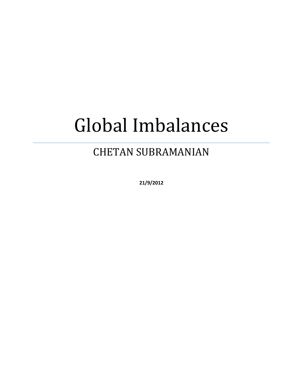# Global Imbalances

# CHETAN SUBRAMANIAN

**21/9/2012**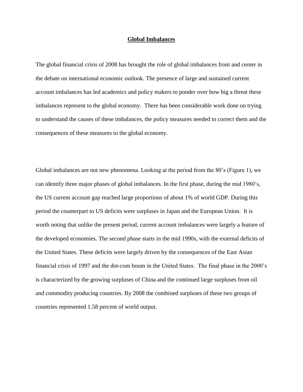#### **Global Imbalances**

The global financial crisis of 2008 has brought the role of global imbalances front and center in the debate on international economic outlook. The presence of large and sustained current account imbalances has led academics and policy makers to ponder over how big a threat these imbalances represent to the global economy. There has been considerable work done on trying to understand the causes of these imbalances, the policy measures needed to correct them and the consequences of these measures to the global economy.

Global imbalances are not new phenomena. Looking at the period from the 80's (Figure 1), we can identify three major phases of global imbalances. In the first phase, during the mid 1980's, the US current account gap reached large proportions of about 1% of world GDP. During this period the counterpart to US deficits were surpluses in Japan and the European Union. It is worth noting that unlike the present period, current account imbalances were largely a feature of the developed economies. The second phase starts in the mid 1990s, with the external deficits of the United States. These deficits were largely driven by the consequences of the East Asian financial crisis of 1997 and the dot-com boom in the United States. The final phase in the 2000's is characterized by the growing surpluses of China and the continued large surpluses from oil and commodity producing countries. By 2008 the combined surpluses of these two groups of countries represented 1.58 percent of world output.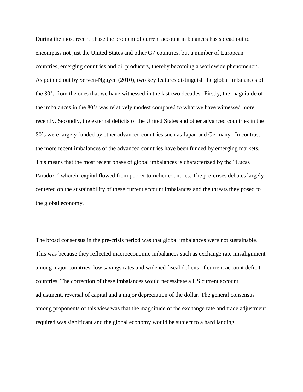During the most recent phase the problem of current account imbalances has spread out to encompass not just the United States and other G7 countries, but a number of European countries, emerging countries and oil producers, thereby becoming a worldwide phenomenon. As pointed out by Serven-Nguyen (2010), two key features distinguish the global imbalances of the 80's from the ones that we have witnessed in the last two decades--Firstly, the magnitude of the imbalances in the 80's was relatively modest compared to what we have witnessed more recently. Secondly, the external deficits of the United States and other advanced countries in the 80's were largely funded by other advanced countries such as Japan and Germany. In contrast the more recent imbalances of the advanced countries have been funded by emerging markets. This means that the most recent phase of global imbalances is characterized by the "Lucas" Paradox," wherein capital flowed from poorer to richer countries. The pre-crises debates largely centered on the sustainability of these current account imbalances and the threats they posed to the global economy.

The broad consensus in the pre-crisis period was that global imbalances were not sustainable. This was because they reflected macroeconomic imbalances such as exchange rate misalignment among major countries, low savings rates and widened fiscal deficits of current account deficit countries. The correction of these imbalances would necessitate a US current account adjustment, reversal of capital and a major depreciation of the dollar. The general consensus among proponents of this view was that the magnitude of the exchange rate and trade adjustment required was significant and the global economy would be subject to a hard landing.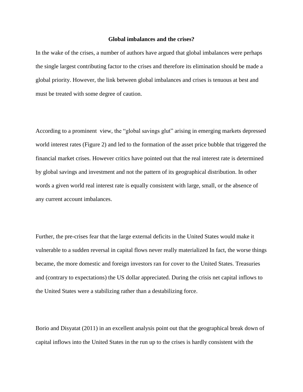#### **Global imbalances and the crises?**

In the wake of the crises, a number of authors have argued that global imbalances were perhaps the single largest contributing factor to the crises and therefore its elimination should be made a global priority. However, the link between global imbalances and crises is tenuous at best and must be treated with some degree of caution.

According to a prominent view, the "global savings glut" arising in emerging markets depressed world interest rates (Figure 2) and led to the formation of the asset price bubble that triggered the financial market crises. However critics have pointed out that the real interest rate is determined by global savings and investment and not the pattern of its geographical distribution. In other words a given world real interest rate is equally consistent with large, small, or the absence of any current account imbalances.

Further, the pre-crises fear that the large external deficits in the United States would make it vulnerable to a sudden reversal in capital flows never really materialized In fact, the worse things became, the more domestic and foreign investors ran for cover to the United States. Treasuries and (contrary to expectations) the US dollar appreciated. During the crisis net capital inflows to the United States were a stabilizing rather than a destabilizing force.

Borio and Disyatat (2011) in an excellent analysis point out that the geographical break down of capital inflows into the United States in the run up to the crises is hardly consistent with the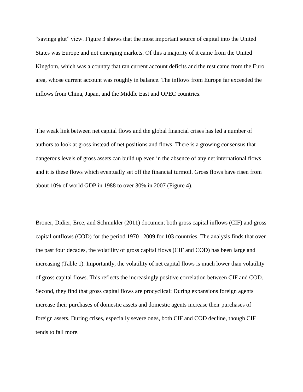―savings glut‖ view. Figure 3 shows that the most important source of capital into the United States was Europe and not emerging markets. Of this a majority of it came from the United Kingdom, which was a country that ran current account deficits and the rest came from the Euro area, whose current account was roughly in balance. The inflows from Europe far exceeded the inflows from China, Japan, and the Middle East and OPEC countries.

The weak link between net capital flows and the global financial crises has led a number of authors to look at gross instead of net positions and flows. There is a growing consensus that dangerous levels of gross assets can build up even in the absence of any net international flows and it is these flows which eventually set off the financial turmoil. Gross flows have risen from about 10% of world GDP in 1988 to over 30% in 2007 (Figure 4).

Broner, Didier, Erce, and Schmukler (2011) document both gross capital inflows (CIF) and gross capital outflows (COD) for the period 1970– 2009 for 103 countries. The analysis finds that over the past four decades, the volatility of gross capital flows (CIF and COD) has been large and increasing (Table 1). Importantly, the volatility of net capital flows is much lower than volatility of gross capital flows. This reflects the increasingly positive correlation between CIF and COD. Second, they find that gross capital flows are procyclical: During expansions foreign agents increase their purchases of domestic assets and domestic agents increase their purchases of foreign assets. During crises, especially severe ones, both CIF and COD decline, though CIF tends to fall more.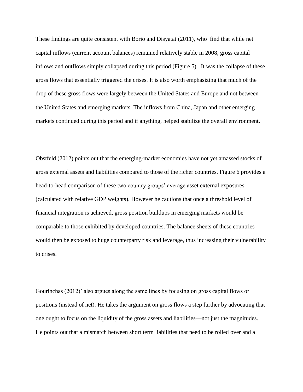These findings are quite consistent with Borio and Disyatat (2011), who find that while net capital inflows (current account balances) remained relatively stable in 2008, gross capital inflows and outflows simply collapsed during this period (Figure 5). It was the collapse of these gross flows that essentially triggered the crises. It is also worth emphasizing that much of the drop of these gross flows were largely between the United States and Europe and not between the United States and emerging markets. The inflows from China, Japan and other emerging markets continued during this period and if anything, helped stabilize the overall environment.

Obstfeld (2012) points out that the emerging-market economies have not yet amassed stocks of gross external assets and liabilities compared to those of the richer countries. Figure 6 provides a head-to-head comparison of these two country groups' average asset external exposures (calculated with relative GDP weights). However he cautions that once a threshold level of financial integration is achieved, gross position buildups in emerging markets would be comparable to those exhibited by developed countries. The balance sheets of these countries would then be exposed to huge counterparty risk and leverage, thus increasing their vulnerability to crises.

Gourinchas (2012)' also argues along the same lines by focusing on gross capital flows or positions (instead of net). He takes the argument on gross flows a step further by advocating that one ought to focus on the liquidity of the gross assets and liabilities—not just the magnitudes. He points out that a mismatch between short term liabilities that need to be rolled over and a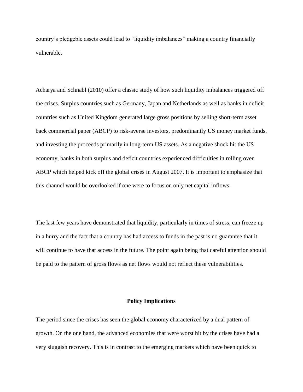country's pledgeble assets could lead to "liquidity imbalances" making a country financially vulnerable.

Acharya and Schnabl (2010) offer a classic study of how such liquidity imbalances triggered off the crises. Surplus countries such as Germany, Japan and Netherlands as well as banks in deficit countries such as United Kingdom generated large gross positions by selling short-term asset back commercial paper (ABCP) to risk-averse investors, predominantly US money market funds, and investing the proceeds primarily in long-term US assets. As a negative shock hit the US economy, banks in both surplus and deficit countries experienced difficulties in rolling over ABCP which helped kick off the global crises in August 2007. It is important to emphasize that this channel would be overlooked if one were to focus on only net capital inflows.

The last few years have demonstrated that liquidity, particularly in times of stress, can freeze up in a hurry and the fact that a country has had access to funds in the past is no guarantee that it will continue to have that access in the future. The point again being that careful attention should be paid to the pattern of gross flows as net flows would not reflect these vulnerabilities.

#### **Policy Implications**

The period since the crises has seen the global economy characterized by a dual pattern of growth. On the one hand, the advanced economies that were worst hit by the crises have had a very sluggish recovery. This is in contrast to the emerging markets which have been quick to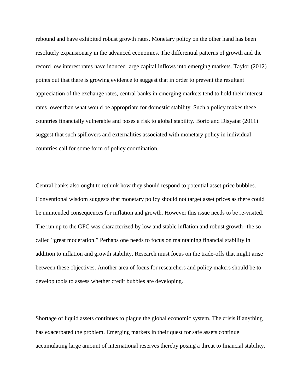rebound and have exhibited robust growth rates. Monetary policy on the other hand has been resolutely expansionary in the advanced economies. The differential patterns of growth and the record low interest rates have induced large capital inflows into emerging markets. Taylor (2012) points out that there is growing evidence to suggest that in order to prevent the resultant appreciation of the exchange rates, central banks in emerging markets tend to hold their interest rates lower than what would be appropriate for domestic stability. Such a policy makes these countries financially vulnerable and poses a risk to global stability. Borio and Disyatat (2011) suggest that such spillovers and externalities associated with monetary policy in individual countries call for some form of policy coordination.

Central banks also ought to rethink how they should respond to potential asset price bubbles. Conventional wisdom suggests that monetary policy should not target asset prices as there could be unintended consequences for inflation and growth. However this issue needs to be re-visited. The run up to the GFC was characterized by low and stable inflation and robust growth--the so called "great moderation." Perhaps one needs to focus on maintaining financial stability in addition to inflation and growth stability. Research must focus on the trade-offs that might arise between these objectives. Another area of focus for researchers and policy makers should be to develop tools to assess whether credit bubbles are developing.

Shortage of liquid assets continues to plague the global economic system. The crisis if anything has exacerbated the problem. Emerging markets in their quest for safe assets continue accumulating large amount of international reserves thereby posing a threat to financial stability.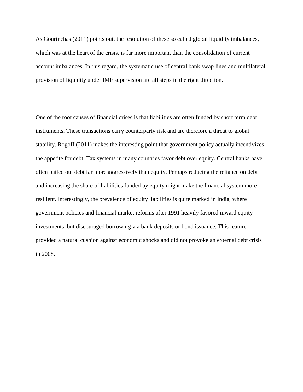As Gourinchas (2011) points out, the resolution of these so called global liquidity imbalances, which was at the heart of the crisis, is far more important than the consolidation of current account imbalances. In this regard, the systematic use of central bank swap lines and multilateral provision of liquidity under IMF supervision are all steps in the right direction.

One of the root causes of financial crises is that liabilities are often funded by short term debt instruments. These transactions carry counterparty risk and are therefore a threat to global stability. Rogoff (2011) makes the interesting point that government policy actually incentivizes the appetite for debt. Tax systems in many countries favor debt over equity. Central banks have often bailed out debt far more aggressively than equity. Perhaps reducing the reliance on debt and increasing the share of liabilities funded by equity might make the financial system more resilient. Interestingly, the prevalence of equity liabilities is quite marked in India, where government policies and financial market reforms after 1991 heavily favored inward equity investments, but discouraged borrowing via bank deposits or bond issuance. This feature provided a natural cushion against economic shocks and did not provoke an external debt crisis in 2008.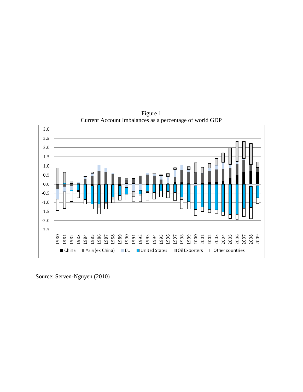

Figure 1 Current Account Imbalances as a percentage of world GDP

Source: Serven-Nguyen (2010)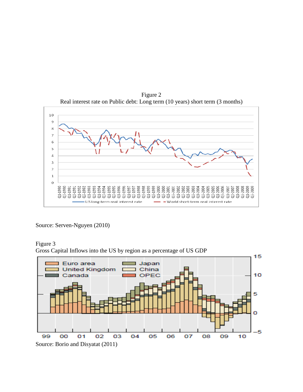

Figure 2 Real interest rate on Public debt: Long term (10 years) short term (3 months)

Source: Serven-Nguyen (2010)

# Figure 3

Gross Capital Inflows into the US by region as a percentage of US GDP

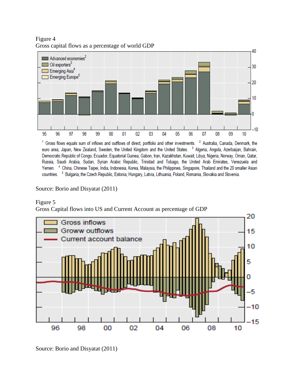Figure 4 Gross capital flows as a percentage of world GDP



<sup>1</sup> Gross flows equals sum of inflows and outflows of direct, portfolio and other investments. <sup>2</sup> Australia, Canada, Denmark, the euro area, Japan, New Zealand, Sweden, the United Kingdom and the United States. <sup>3</sup> Algeria, Angola, Azerbaijan, Bahrain, Democratic Republic of Congo, Ecuador, Equatorial Guinea, Gabon, Iran, Kazakhstan, Kuwait, Libya, Nigeria, Norway, Oman, Qatar, Russia, Saudi Arabia, Sudan, Syrian Arabic Republic, Trinidad and Tobago, the United Arab Emirates, Venezuela and Yemen. 4 China, Chinese Taipei, India, Indonesia, Korea, Malaysia, the Philippines, Singapore, Thailand and the 20 smaller Asian countries. <sup>5</sup> Bulgaria, the Czech Republic, Estonia, Hungary, Latvia, Lithuania, Poland, Romania, Slovakia and Slovenia.

# Source: Borio and Disyatat (2011)

## Figure 5

Gross Capital flows into US and Current Account as percentage of GDP



Source: Borio and Disyatat (2011)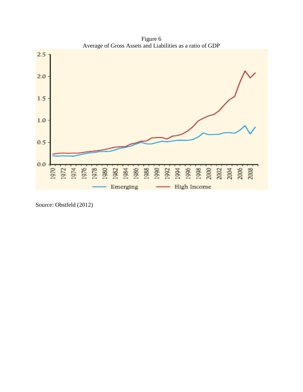Figure 6 Average of Gross Assets and Liabilities as a ratio of GDP



Source: Obstfeld (2012)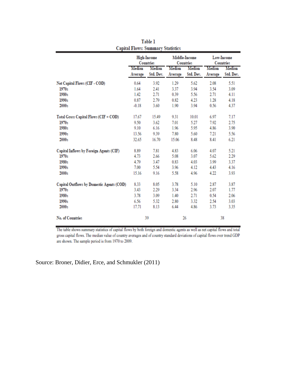|                                           | <b>High-Income</b><br><b>Countries</b> |           | Middle-Income<br>Countries |           | Low-Income<br>Countries |           |
|-------------------------------------------|----------------------------------------|-----------|----------------------------|-----------|-------------------------|-----------|
|                                           | Median                                 | Median    | Median                     | Median    | Median                  | Median    |
|                                           | Average                                | Std. Dev. | Average                    | Std. Dev. | Average                 | Std. Dev. |
| Net Capital Flows (CIF - COD)             | 0.64                                   | 3.92      | 1.29                       | 5.62      | 2.08                    | 5.51      |
| 1970s                                     | 1.64                                   | 2.41      | 3.37                       | 3.94      | 3.54                    | 3.09      |
| 1980s                                     | 1.42                                   | 2.71      | 0.39                       | 5.56      | 2.71                    | 4.11      |
| 1990s                                     | 0.87                                   | 2.79      | 0.82                       | 4.23      | 1.28                    | 4.18      |
| 2000s                                     | $-0.18$                                | 3.60      | 1.90                       | 3.94      | 0.56                    | 4.37      |
| Total Gross Capital Flows (CIF + COD)     | 17.67                                  | 15.49     | 9.31                       | 10.01     | 6.97                    | 7.17      |
| 1970s                                     | 9.50                                   | 3.62      | 7.01                       | 5.27      | 7.92                    | 2.75      |
| 1980s                                     | 9.10                                   | 6.16      | 1.96                       | 5.95      | 4.86                    | 3.90      |
| 1990s                                     | 13.56                                  | 9.39      | 7.80                       | 5.60      | 7.21                    | 5.56      |
| 2000s                                     | 32.65                                  | 16.70     | 15.06                      | 8.48      | 8.41                    | 6.21      |
| Capital Inflows by Foreign Agents (CIF)   | 8.89                                   | 7.81      | 4.83                       | 6.06      | 4.07                    | 5.21      |
| 1970s                                     | 4.73                                   | 2.66      | 5.08                       | 3.07      | 5.62                    | 2.29      |
| 1980s                                     | 4.79                                   | 3.47      | 0.83                       | 4.03      | 3.99                    | 3.37      |
| 1990s                                     | 7.00                                   | 5.54      | 3.96                       | 4.12      | 4.43                    | 4.16      |
| 2000s                                     | 15.16                                  | 9.16      | 5.58                       | 4.96      | 4.22                    | 3.93      |
| Capital Outflows by Domestic Agents (COD) | 8.33                                   | 8.05      | 3.78                       | 5.10      | 2.87                    | 3.87      |
| 1970s                                     | 3.43                                   | 2.29      | 3.34                       | 2.96      | 2.07                    | 1.77      |
| 1980s                                     | 3.78                                   | 3.09      | 1.40                       | 2.71      | 0.54                    | 2.06      |
| 1990s                                     | 6.56                                   | 5.32      | 2.80                       | 3.32      | 2.54                    | 3.03      |
| 2000s                                     | 17.71                                  | 8.13      | 6.44                       | 4.86      | 3.73                    | 3.35      |
| No. of Countries                          | 39                                     |           | 26                         |           | 38                      |           |

Table 1 **Capital Flows: Summary Statistics** 

The table shows summary statistics of capital flows by both foreign and domestic agents as well as net capital flows and total gross capital flows. The median value of country averages and of country standard deviations of capital flows over trend GDP are shown. The sample period is from 1970 to 2009.

Source: Broner, Didier, Erce, and Schmukler (2011)